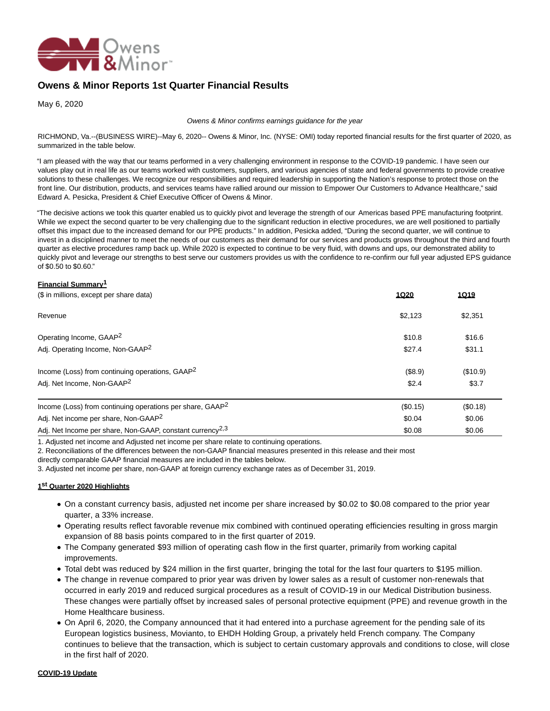

# **Owens & Minor Reports 1st Quarter Financial Results**

May 6, 2020

#### Owens & Minor confirms earnings guidance for the year

RICHMOND, Va.--(BUSINESS WIRE)--May 6, 2020-- Owens & Minor, Inc. (NYSE: OMI) today reported financial results for the first quarter of 2020, as summarized in the table below.

"I am pleased with the way that our teams performed in a very challenging environment in response to the COVID-19 pandemic. I have seen our values play out in real life as our teams worked with customers, suppliers, and various agencies of state and federal governments to provide creative solutions to these challenges. We recognize our responsibilities and required leadership in supporting the Nation's response to protect those on the front line. Our distribution, products, and services teams have rallied around our mission to Empower Our Customers to Advance Healthcare," said Edward A. Pesicka, President & Chief Executive Officer of Owens & Minor.

"The decisive actions we took this quarter enabled us to quickly pivot and leverage the strength of our Americas based PPE manufacturing footprint. While we expect the second quarter to be very challenging due to the significant reduction in elective procedures, we are well positioned to partially offset this impact due to the increased demand for our PPE products." In addition, Pesicka added, "During the second quarter, we will continue to invest in a disciplined manner to meet the needs of our customers as their demand for our services and products grows throughout the third and fourth quarter as elective procedures ramp back up. While 2020 is expected to continue to be very fluid, with downs and ups, our demonstrated ability to quickly pivot and leverage our strengths to best serve our customers provides us with the confidence to re-confirm our full year adjusted EPS guidance of \$0.50 to \$0.60."

#### **Financial Summary1**

| (\$ in millions, except per share data)                               | 1Q20     | <u>1Q19</u> |
|-----------------------------------------------------------------------|----------|-------------|
| Revenue                                                               | \$2,123  | \$2,351     |
| Operating Income, GAAP <sup>2</sup>                                   | \$10.8   | \$16.6      |
| Adj. Operating Income, Non-GAAP <sup>2</sup>                          | \$27.4   | \$31.1      |
| Income (Loss) from continuing operations, GAAP <sup>2</sup>           | (\$8.9)  | (\$10.9)    |
| Adj. Net Income, Non-GAAP <sup>2</sup>                                | \$2.4    | \$3.7       |
| Income (Loss) from continuing operations per share, GAAP <sup>2</sup> | (\$0.15) | (\$0.18)    |
| Adj. Net income per share, Non-GAAP <sup>2</sup>                      | \$0.04   | \$0.06      |
| Adj. Net Income per share, Non-GAAP, constant currency <sup>2,3</sup> | \$0.08   | \$0.06      |

1. Adjusted net income and Adjusted net income per share relate to continuing operations.

2. Reconciliations of the differences between the non-GAAP financial measures presented in this release and their most

directly comparable GAAP financial measures are included in the tables below.

3. Adjusted net income per share, non-GAAP at foreign currency exchange rates as of December 31, 2019.

# **1 st Quarter 2020 Highlights**

- On a constant currency basis, adjusted net income per share increased by \$0.02 to \$0.08 compared to the prior year quarter, a 33% increase.
- Operating results reflect favorable revenue mix combined with continued operating efficiencies resulting in gross margin expansion of 88 basis points compared to in the first quarter of 2019.
- The Company generated \$93 million of operating cash flow in the first quarter, primarily from working capital improvements.
- Total debt was reduced by \$24 million in the first quarter, bringing the total for the last four quarters to \$195 million.
- The change in revenue compared to prior year was driven by lower sales as a result of customer non-renewals that occurred in early 2019 and reduced surgical procedures as a result of COVID-19 in our Medical Distribution business. These changes were partially offset by increased sales of personal protective equipment (PPE) and revenue growth in the Home Healthcare business.
- On April 6, 2020, the Company announced that it had entered into a purchase agreement for the pending sale of its European logistics business, Movianto, to EHDH Holding Group, a privately held French company. The Company continues to believe that the transaction, which is subject to certain customary approvals and conditions to close, will close in the first half of 2020.

#### **COVID-19 Update**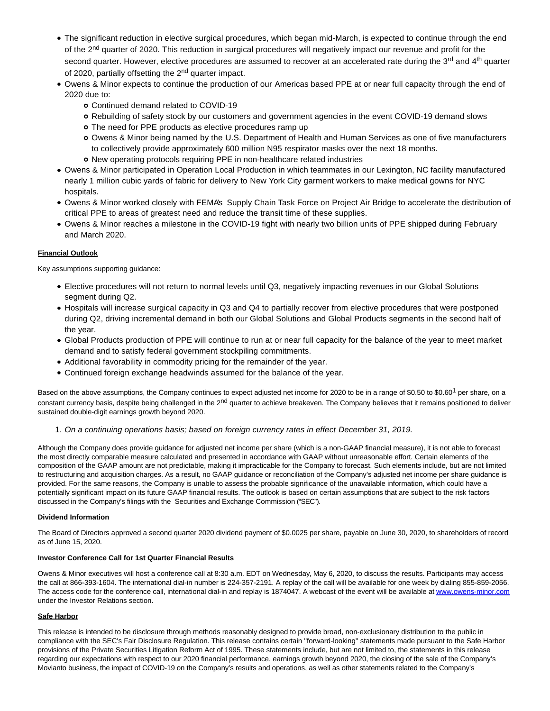- The significant reduction in elective surgical procedures, which began mid-March, is expected to continue through the end of the 2<sup>nd</sup> quarter of 2020. This reduction in surgical procedures will negatively impact our revenue and profit for the second quarter. However, elective procedures are assumed to recover at an accelerated rate during the 3<sup>rd</sup> and 4<sup>th</sup> quarter of 2020, partially offsetting the 2<sup>nd</sup> quarter impact.
- Owens & Minor expects to continue the production of our Americas based PPE at or near full capacity through the end of 2020 due to:
	- Continued demand related to COVID-19
	- Rebuilding of safety stock by our customers and government agencies in the event COVID-19 demand slows
	- The need for PPE products as elective procedures ramp up
	- Owens & Minor being named by the U.S. Department of Health and Human Services as one of five manufacturers to collectively provide approximately 600 million N95 respirator masks over the next 18 months.
	- New operating protocols requiring PPE in non-healthcare related industries
- Owens & Minor participated in Operation Local Production in which teammates in our Lexington, NC facility manufactured nearly 1 million cubic yards of fabric for delivery to New York City garment workers to make medical gowns for NYC hospitals.
- Owens & Minor worked closely with FEMA's Supply Chain Task Force on Project Air Bridge to accelerate the distribution of critical PPE to areas of greatest need and reduce the transit time of these supplies.
- Owens & Minor reaches a milestone in the COVID-19 fight with nearly two billion units of PPE shipped during February and March 2020.

# **Financial Outlook**

Key assumptions supporting guidance:

- Elective procedures will not return to normal levels until Q3, negatively impacting revenues in our Global Solutions segment during Q2.
- Hospitals will increase surgical capacity in Q3 and Q4 to partially recover from elective procedures that were postponed during Q2, driving incremental demand in both our Global Solutions and Global Products segments in the second half of the year.
- Global Products production of PPE will continue to run at or near full capacity for the balance of the year to meet market demand and to satisfy federal government stockpiling commitments.
- Additional favorability in commodity pricing for the remainder of the year.
- Continued foreign exchange headwinds assumed for the balance of the year.

Based on the above assumptions, the Company continues to expect adjusted net income for 2020 to be in a range of \$0.50 to \$0.60<sup>1</sup> per share, on a constant currency basis, despite being challenged in the 2<sup>nd</sup> quarter to achieve breakeven. The Company believes that it remains positioned to deliver sustained double-digit earnings growth beyond 2020.

1. On a continuing operations basis; based on foreign currency rates in effect December 31, 2019.

Although the Company does provide guidance for adjusted net income per share (which is a non-GAAP financial measure), it is not able to forecast the most directly comparable measure calculated and presented in accordance with GAAP without unreasonable effort. Certain elements of the composition of the GAAP amount are not predictable, making it impracticable for the Company to forecast. Such elements include, but are not limited to restructuring and acquisition charges. As a result, no GAAP guidance or reconciliation of the Company's adjusted net income per share guidance is provided. For the same reasons, the Company is unable to assess the probable significance of the unavailable information, which could have a potentially significant impact on its future GAAP financial results. The outlook is based on certain assumptions that are subject to the risk factors discussed in the Company's filings with the Securities and Exchange Commission ("SEC").

#### **Dividend Information**

The Board of Directors approved a second quarter 2020 dividend payment of \$0.0025 per share, payable on June 30, 2020, to shareholders of record as of June 15, 2020.

### **Investor Conference Call for 1st Quarter Financial Results**

Owens & Minor executives will host a conference call at 8:30 a.m. EDT on Wednesday, May 6, 2020, to discuss the results. Participants may access the call at 866-393-1604. The international dial-in number is 224-357-2191. A replay of the call will be available for one week by dialing 855-859-2056. The access code for the conference call, international dial-in and replay is 1874047. A webcast of the event will be available at [www.owens-minor.com](https://cts.businesswire.com/ct/CT?id=smartlink&url=http%3A%2F%2Fwww.owens-minor.com&esheet=52215177&newsitemid=20200506005127&lan=en-US&anchor=www.owens-minor.com&index=1&md5=68e6f07df930f40eefcc86a51a1221e3) under the Investor Relations section.

# **Safe Harbor**

This release is intended to be disclosure through methods reasonably designed to provide broad, non-exclusionary distribution to the public in compliance with the SEC's Fair Disclosure Regulation. This release contains certain ''forward-looking'' statements made pursuant to the Safe Harbor provisions of the Private Securities Litigation Reform Act of 1995. These statements include, but are not limited to, the statements in this release regarding our expectations with respect to our 2020 financial performance, earnings growth beyond 2020, the closing of the sale of the Company's Movianto business, the impact of COVID-19 on the Company's results and operations, as well as other statements related to the Company's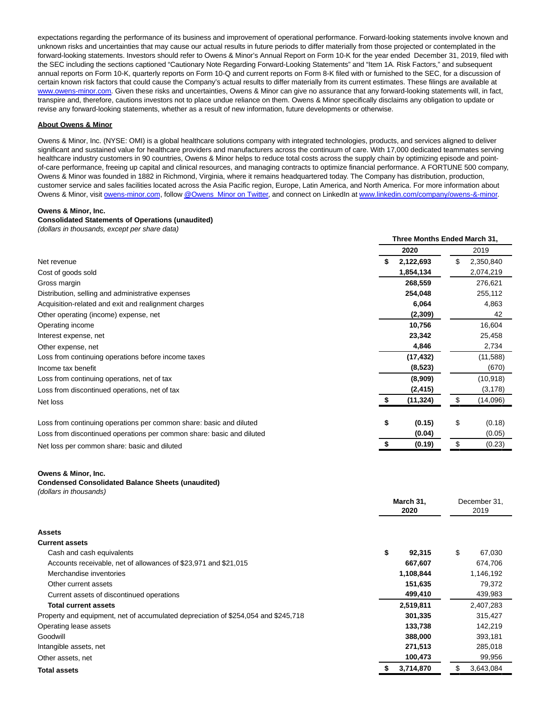expectations regarding the performance of its business and improvement of operational performance. Forward-looking statements involve known and unknown risks and uncertainties that may cause our actual results in future periods to differ materially from those projected or contemplated in the forward-looking statements. Investors should refer to Owens & Minor's Annual Report on Form 10-K for the year ended December 31, 2019, filed with the SEC including the sections captioned "Cautionary Note Regarding Forward-Looking Statements" and "Item 1A. Risk Factors," and subsequent annual reports on Form 10-K, quarterly reports on Form 10-Q and current reports on Form 8-K filed with or furnished to the SEC, for a discussion of certain known risk factors that could cause the Company's actual results to differ materially from its current estimates. These filings are available at [www.owens-minor.com.](https://cts.businesswire.com/ct/CT?id=smartlink&url=http%3A%2F%2Fwww.owens-minor.com&esheet=52215177&newsitemid=20200506005127&lan=en-US&anchor=www.owens-minor.com&index=2&md5=81a4d8366c76a5769cff3795603fd192) Given these risks and uncertainties, Owens & Minor can give no assurance that any forward-looking statements will, in fact, transpire and, therefore, cautions investors not to place undue reliance on them. Owens & Minor specifically disclaims any obligation to update or revise any forward-looking statements, whether as a result of new information, future developments or otherwise.

#### **About Owens & Minor**

Owens & Minor, Inc. (NYSE: OMI) is a global healthcare solutions company with integrated technologies, products, and services aligned to deliver significant and sustained value for healthcare providers and manufacturers across the continuum of care. With 17,000 dedicated teammates serving healthcare industry customers in 90 countries, Owens & Minor helps to reduce total costs across the supply chain by optimizing episode and pointof-care performance, freeing up capital and clinical resources, and managing contracts to optimize financial performance. A FORTUNE 500 company, Owens & Minor was founded in 1882 in Richmond, Virginia, where it remains headquartered today. The Company has distribution, production, customer service and sales facilities located across the Asia Pacific region, Europe, Latin America, and North America. For more information about Owens & Minor, visit [owens-minor.com,](https://cts.businesswire.com/ct/CT?id=smartlink&url=http%3A%2F%2Fwww.owens-minor.com&esheet=52215177&newsitemid=20200506005127&lan=en-US&anchor=owens-minor.com&index=3&md5=3f48786ba7f540ed43f6f8c2095eeefe) follo[w @Owens\\_Minor on Twitter,](https://cts.businesswire.com/ct/CT?id=smartlink&url=https%3A%2F%2Ftwitter.com%2FOwens_Minor&esheet=52215177&newsitemid=20200506005127&lan=en-US&anchor=%40Owens_Minor+on+Twitter&index=4&md5=516373a43ce7757b07899111c2236bfb) and connect on LinkedIn a[t www.linkedin.com/company/owens-&-minor.](https://cts.businesswire.com/ct/CT?id=smartlink&url=http%3A%2F%2Fwww.linkedin.com%2Fcompany%2Fowens-%26-minor&esheet=52215177&newsitemid=20200506005127&lan=en-US&anchor=www.linkedin.com%2Fcompany%2Fowens-%26amp%3B-minor&index=5&md5=807667f201ada1d52b1ee52ba4e0d0a2)

#### **Owens & Minor, Inc.**

#### **Consolidated Statements of Operations (unaudited)**

(dollars in thousands, except per share data)

|                                                                       | Three Months Ended March 31, |    |           |  |
|-----------------------------------------------------------------------|------------------------------|----|-----------|--|
|                                                                       | 2020                         |    | 2019      |  |
| Net revenue                                                           | 2,122,693                    | \$ | 2,350,840 |  |
| Cost of goods sold                                                    | 1,854,134                    |    | 2,074,219 |  |
| Gross margin                                                          | 268,559                      |    | 276,621   |  |
| Distribution, selling and administrative expenses                     | 254,048                      |    | 255,112   |  |
| Acquisition-related and exit and realignment charges                  | 6,064                        |    | 4,863     |  |
| Other operating (income) expense, net                                 | (2,309)                      |    | 42        |  |
| Operating income                                                      | 10,756                       |    | 16,604    |  |
| Interest expense, net                                                 | 23,342                       |    | 25,458    |  |
| Other expense, net                                                    | 4,846                        |    | 2,734     |  |
| Loss from continuing operations before income taxes                   | (17, 432)                    |    | (11, 588) |  |
| Income tax benefit                                                    | (8,523)                      |    | (670)     |  |
| Loss from continuing operations, net of tax                           | (8,909)                      |    | (10, 918) |  |
| Loss from discontinued operations, net of tax                         | (2, 415)                     |    | (3, 178)  |  |
| Net loss                                                              | (11, 324)                    | \$ | (14,096)  |  |
| Loss from continuing operations per common share: basic and diluted   | \$<br>(0.15)                 | \$ | (0.18)    |  |
| Loss from discontinued operations per common share: basic and diluted | (0.04)                       |    | (0.05)    |  |
| Net loss per common share: basic and diluted                          | (0.19)                       | \$ | (0.23)    |  |

#### **Owens & Minor, Inc.**

## **Condensed Consolidated Balance Sheets (unaudited)**

|  | (dollars in thousands) |  |
|--|------------------------|--|
|--|------------------------|--|

|                                                                                    |    | March 31,<br>2020 |    | December 31,<br>2019 |  |
|------------------------------------------------------------------------------------|----|-------------------|----|----------------------|--|
| <b>Assets</b>                                                                      |    |                   |    |                      |  |
| <b>Current assets</b>                                                              |    |                   |    |                      |  |
| Cash and cash equivalents                                                          | \$ | 92,315            | \$ | 67,030               |  |
| Accounts receivable, net of allowances of \$23,971 and \$21,015                    |    | 667,607           |    | 674,706              |  |
| Merchandise inventories                                                            |    | 1,108,844         |    | 1,146,192            |  |
| Other current assets                                                               |    | 151,635           |    | 79,372               |  |
| Current assets of discontinued operations                                          |    | 499,410           |    | 439,983              |  |
| <b>Total current assets</b>                                                        |    | 2,519,811         |    | 2,407,283            |  |
| Property and equipment, net of accumulated depreciation of \$254,054 and \$245,718 |    | 301,335           |    | 315,427              |  |
| Operating lease assets                                                             |    | 133,738           |    | 142,219              |  |
| Goodwill                                                                           |    | 388,000           |    | 393,181              |  |
| Intangible assets, net                                                             |    | 271,513           |    | 285,018              |  |
| Other assets, net                                                                  |    | 100,473           |    | 99,956               |  |
| <b>Total assets</b>                                                                |    | 3,714,870         |    | 3,643,084            |  |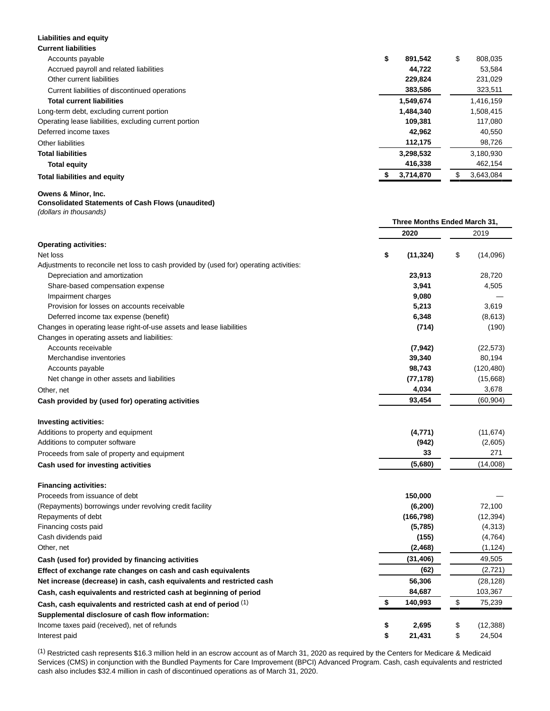| <b>Current liabilities</b>                             |               |    |           |
|--------------------------------------------------------|---------------|----|-----------|
| Accounts payable                                       | \$<br>891,542 | \$ | 808,035   |
| Accrued payroll and related liabilities                | 44.722        |    | 53.584    |
| Other current liabilities                              | 229.824       |    | 231,029   |
| Current liabilities of discontinued operations         | 383,586       |    | 323,511   |
| <b>Total current liabilities</b>                       | 1.549.674     |    | 1.416.159 |
| Long-term debt, excluding current portion              | 1,484,340     |    | 1.508.415 |
| Operating lease liabilities, excluding current portion | 109.381       |    | 117,080   |
| Deferred income taxes                                  | 42.962        |    | 40.550    |
| Other liabilities                                      | 112,175       |    | 98,726    |
| <b>Total liabilities</b>                               | 3,298,532     |    | 3,180,930 |
| <b>Total equity</b>                                    | 416,338       |    | 462,154   |
| <b>Total liabilities and equity</b>                    | 3,714,870     | Ж  | 3.643.084 |

#### **Owens & Minor, Inc.**

**Liabilities and equity**

# **Consolidated Statements of Cash Flows (unaudited)**

(dollars in thousands)

|                                                                                        | Three Months Ended March 31, |            |    |            |
|----------------------------------------------------------------------------------------|------------------------------|------------|----|------------|
|                                                                                        |                              | 2020       |    | 2019       |
| <b>Operating activities:</b>                                                           |                              |            |    |            |
| Net loss                                                                               | \$                           | (11, 324)  | \$ | (14,096)   |
| Adjustments to reconcile net loss to cash provided by (used for) operating activities: |                              |            |    |            |
| Depreciation and amortization                                                          |                              | 23,913     |    | 28,720     |
| Share-based compensation expense                                                       |                              | 3,941      |    | 4,505      |
| Impairment charges                                                                     |                              | 9,080      |    |            |
| Provision for losses on accounts receivable                                            |                              | 5,213      |    | 3,619      |
| Deferred income tax expense (benefit)                                                  |                              | 6,348      |    | (8,613)    |
| Changes in operating lease right-of-use assets and lease liabilities                   |                              | (714)      |    | (190)      |
| Changes in operating assets and liabilities:                                           |                              |            |    |            |
| Accounts receivable                                                                    |                              | (7, 942)   |    | (22, 573)  |
| Merchandise inventories                                                                |                              | 39,340     |    | 80,194     |
| Accounts payable                                                                       |                              | 98,743     |    | (120, 480) |
| Net change in other assets and liabilities                                             |                              | (77, 178)  |    | (15,668)   |
| Other, net                                                                             |                              | 4,034      |    | 3,678      |
| Cash provided by (used for) operating activities                                       |                              | 93,454     |    | (60, 904)  |
| <b>Investing activities:</b>                                                           |                              |            |    |            |
| Additions to property and equipment                                                    |                              | (4,771)    |    | (11, 674)  |
| Additions to computer software                                                         |                              | (942)      |    | (2,605)    |
| Proceeds from sale of property and equipment                                           |                              | 33         |    | 271        |
| Cash used for investing activities                                                     |                              | (5,680)    |    | (14,008)   |
| <b>Financing activities:</b>                                                           |                              |            |    |            |
| Proceeds from issuance of debt                                                         |                              | 150,000    |    |            |
| (Repayments) borrowings under revolving credit facility                                |                              | (6, 200)   |    | 72,100     |
| Repayments of debt                                                                     |                              | (166, 798) |    | (12, 394)  |
| Financing costs paid                                                                   |                              | (5,785)    |    | (4, 313)   |
| Cash dividends paid                                                                    |                              | (155)      |    | (4, 764)   |
| Other, net                                                                             |                              | (2, 468)   |    | (1, 124)   |
| Cash (used for) provided by financing activities                                       |                              | (31, 406)  |    | 49,505     |
| Effect of exchange rate changes on cash and cash equivalents                           |                              | (62)       |    | (2,721)    |
| Net increase (decrease) in cash, cash equivalents and restricted cash                  |                              | 56,306     |    | (28, 128)  |
| Cash, cash equivalents and restricted cash at beginning of period                      |                              | 84,687     |    | 103,367    |
| Cash, cash equivalents and restricted cash at end of period (1)                        | \$                           | 140,993    | \$ | 75,239     |
| Supplemental disclosure of cash flow information:                                      |                              |            |    |            |
| Income taxes paid (received), net of refunds                                           | \$                           | 2,695      | \$ | (12, 388)  |
| Interest paid                                                                          | \$                           | 21,431     | \$ | 24,504     |

(1) Restricted cash represents \$16.3 million held in an escrow account as of March 31, 2020 as required by the Centers for Medicare & Medicaid Services (CMS) in conjunction with the Bundled Payments for Care Improvement (BPCI) Advanced Program. Cash, cash equivalents and restricted cash also includes \$32.4 million in cash of discontinued operations as of March 31, 2020.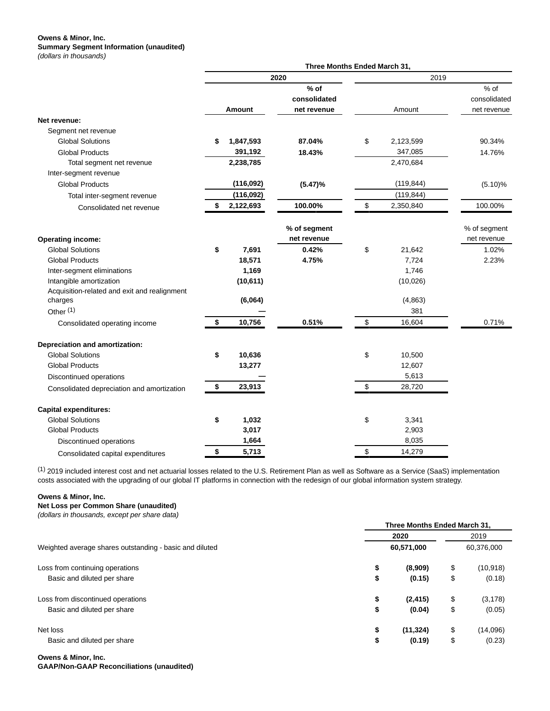#### **Owens & Minor, Inc. Summary Segment Information (unaudited)** (dollars in thousands)

|                                                         | Three Months Ended March 31, |           |                                       |    |            |                                     |
|---------------------------------------------------------|------------------------------|-----------|---------------------------------------|----|------------|-------------------------------------|
|                                                         | 2020                         |           |                                       |    | 2019       |                                     |
|                                                         |                              | Amount    | $%$ of<br>consolidated<br>net revenue |    | Amount     | % of<br>consolidated<br>net revenue |
| Net revenue:                                            |                              |           |                                       |    |            |                                     |
| Segment net revenue                                     |                              |           |                                       |    |            |                                     |
| <b>Global Solutions</b>                                 | \$                           | 1,847,593 | 87.04%                                | \$ | 2,123,599  | 90.34%                              |
| <b>Global Products</b>                                  |                              | 391,192   | 18.43%                                |    | 347,085    | 14.76%                              |
| Total segment net revenue                               |                              | 2,238,785 |                                       |    | 2,470,684  |                                     |
| Inter-segment revenue                                   |                              |           |                                       |    |            |                                     |
| <b>Global Products</b>                                  |                              | (116,092) | (5.47)%                               |    | (119, 844) | (5.10)%                             |
| Total inter-segment revenue                             |                              | (116,092) |                                       |    | (119, 844) |                                     |
| Consolidated net revenue                                | \$                           | 2,122,693 | 100.00%                               | \$ | 2,350,840  | 100.00%                             |
| <b>Operating income:</b>                                |                              |           | % of segment<br>net revenue           |    |            | % of segment<br>net revenue         |
| <b>Global Solutions</b>                                 | \$                           | 7,691     | 0.42%                                 | \$ | 21,642     | 1.02%                               |
| <b>Global Products</b>                                  |                              | 18,571    | 4.75%                                 |    | 7,724      | 2.23%                               |
| Inter-segment eliminations                              |                              | 1,169     |                                       |    | 1,746      |                                     |
| Intangible amortization                                 |                              | (10, 611) |                                       |    | (10, 026)  |                                     |
| Acquisition-related and exit and realignment<br>charges |                              | (6,064)   |                                       |    | (4,863)    |                                     |
| Other <sup>(1)</sup>                                    |                              |           |                                       |    | 381        |                                     |
| Consolidated operating income                           | \$                           | 10,756    | 0.51%                                 | \$ | 16,604     | 0.71%                               |
| Depreciation and amortization:                          |                              |           |                                       |    |            |                                     |
| <b>Global Solutions</b>                                 | \$                           | 10,636    |                                       | \$ | 10,500     |                                     |
| <b>Global Products</b>                                  |                              | 13,277    |                                       |    | 12,607     |                                     |
| Discontinued operations                                 |                              |           |                                       |    | 5,613      |                                     |
| Consolidated depreciation and amortization              | \$                           | 23,913    |                                       | \$ | 28,720     |                                     |
| <b>Capital expenditures:</b>                            |                              |           |                                       |    |            |                                     |
| <b>Global Solutions</b>                                 | \$                           | 1,032     |                                       | \$ | 3,341      |                                     |
| <b>Global Products</b>                                  |                              | 3,017     |                                       |    | 2,903      |                                     |
| Discontinued operations                                 |                              | 1,664     |                                       |    | 8,035      |                                     |
| Consolidated capital expenditures                       | \$                           | 5,713     |                                       | \$ | 14,279     |                                     |

(1) 2019 included interest cost and net actuarial losses related to the U.S. Retirement Plan as well as Software as a Service (SaaS) implementation costs associated with the upgrading of our global IT platforms in connection with the redesign of our global information system strategy.

#### **Owens & Minor, Inc.**

**Net Loss per Common Share (unaudited)**

(dollars in thousands, except per share data)

|                                                         | Three Months Ended March 31, |            |      |            |  |  |
|---------------------------------------------------------|------------------------------|------------|------|------------|--|--|
|                                                         | 2020                         |            | 2019 |            |  |  |
| Weighted average shares outstanding - basic and diluted |                              | 60,571,000 |      | 60,376,000 |  |  |
| Loss from continuing operations                         | \$                           | (8,909)    | \$   | (10, 918)  |  |  |
| Basic and diluted per share                             | \$                           | (0.15)     | \$   | (0.18)     |  |  |
| Loss from discontinued operations                       | \$                           | (2, 415)   | \$   | (3, 178)   |  |  |
| Basic and diluted per share                             | \$                           | (0.04)     | \$   | (0.05)     |  |  |
| Net loss                                                | \$                           | (11, 324)  | \$   | (14,096)   |  |  |
| Basic and diluted per share                             | \$                           | (0.19)     | \$   | (0.23)     |  |  |

**Owens & Minor, Inc.**

**GAAP/Non-GAAP Reconciliations (unaudited)**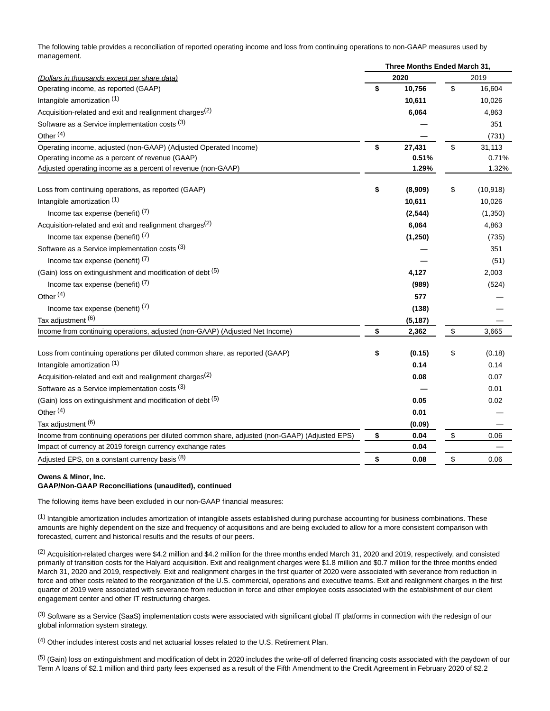The following table provides a reconciliation of reported operating income and loss from continuing operations to non-GAAP measures used by management.

|                                                                                                | Three Months Ended March 31, |          |    |           |  |
|------------------------------------------------------------------------------------------------|------------------------------|----------|----|-----------|--|
| (Dollars in thousands except per share data)                                                   |                              | 2020     |    | 2019      |  |
| Operating income, as reported (GAAP)                                                           | \$                           | 10,756   | \$ | 16,604    |  |
| Intangible amortization (1)                                                                    |                              | 10,611   |    | 10,026    |  |
| Acquisition-related and exit and realignment charges <sup>(2)</sup>                            |                              | 6,064    |    | 4,863     |  |
| Software as a Service implementation costs (3)                                                 |                              |          |    | 351       |  |
| Other <sup>(4)</sup>                                                                           |                              |          |    | (731)     |  |
| Operating income, adjusted (non-GAAP) (Adjusted Operated Income)                               | \$                           | 27,431   | \$ | 31,113    |  |
| Operating income as a percent of revenue (GAAP)                                                |                              | 0.51%    |    | 0.71%     |  |
| Adjusted operating income as a percent of revenue (non-GAAP)                                   |                              | 1.29%    |    | 1.32%     |  |
| Loss from continuing operations, as reported (GAAP)                                            | \$                           | (8,909)  | \$ | (10, 918) |  |
| Intangible amortization (1)                                                                    |                              | 10,611   |    | 10,026    |  |
| Income tax expense (benefit) $(7)$                                                             |                              | (2, 544) |    | (1,350)   |  |
| Acquisition-related and exit and realignment charges <sup>(2)</sup>                            |                              | 6,064    |    | 4,863     |  |
| Income tax expense (benefit) $(7)$                                                             |                              | (1,250)  |    | (735)     |  |
| Software as a Service implementation costs (3)                                                 |                              |          |    | 351       |  |
| Income tax expense (benefit) $(7)$                                                             |                              |          |    | (51)      |  |
| (Gain) loss on extinguishment and modification of debt (5)                                     |                              | 4,127    |    | 2,003     |  |
| Income tax expense (benefit) $(7)$                                                             |                              | (989)    |    | (524)     |  |
| Other <sup>(4)</sup>                                                                           |                              | 577      |    |           |  |
| Income tax expense (benefit) (7)                                                               |                              | (138)    |    |           |  |
| Tax adjustment (6)                                                                             |                              | (5, 187) |    |           |  |
| Income from continuing operations, adjusted (non-GAAP) (Adjusted Net Income)                   | \$                           | 2,362    | \$ | 3,665     |  |
| Loss from continuing operations per diluted common share, as reported (GAAP)                   | \$                           | (0.15)   | \$ | (0.18)    |  |
| Intangible amortization (1)                                                                    |                              | 0.14     |    | 0.14      |  |
| Acquisition-related and exit and realignment charges <sup>(2)</sup>                            |                              | 0.08     |    | 0.07      |  |
| Software as a Service implementation costs (3)                                                 |                              |          |    | 0.01      |  |
| (Gain) loss on extinguishment and modification of debt (5)                                     |                              | 0.05     |    | 0.02      |  |
| Other <sup>(4)</sup>                                                                           |                              | 0.01     |    |           |  |
| Tax adjustment (6)                                                                             |                              | (0.09)   |    |           |  |
| Income from continuing operations per diluted common share, adjusted (non-GAAP) (Adjusted EPS) | \$                           | 0.04     | \$ | 0.06      |  |
| Impact of currency at 2019 foreign currency exchange rates                                     |                              | 0.04     |    |           |  |
| Adjusted EPS, on a constant currency basis (8)                                                 | \$                           | 0.08     | \$ | 0.06      |  |

# **Owens & Minor, Inc.**

#### **GAAP/Non-GAAP Reconciliations (unaudited), continued**

The following items have been excluded in our non-GAAP financial measures:

(1) Intangible amortization includes amortization of intangible assets established during purchase accounting for business combinations. These amounts are highly dependent on the size and frequency of acquisitions and are being excluded to allow for a more consistent comparison with forecasted, current and historical results and the results of our peers.

 $(2)$  Acquisition-related charges were \$4.2 million and \$4.2 million for the three months ended March 31, 2020 and 2019, respectively, and consisted primarily of transition costs for the Halyard acquisition. Exit and realignment charges were \$1.8 million and \$0.7 million for the three months ended March 31, 2020 and 2019, respectively. Exit and realignment charges in the first quarter of 2020 were associated with severance from reduction in force and other costs related to the reorganization of the U.S. commercial, operations and executive teams. Exit and realignment charges in the first quarter of 2019 were associated with severance from reduction in force and other employee costs associated with the establishment of our client engagement center and other IT restructuring charges.

<sup>(3)</sup> Software as a Service (SaaS) implementation costs were associated with significant global IT platforms in connection with the redesign of our global information system strategy.

(4) Other includes interest costs and net actuarial losses related to the U.S. Retirement Plan.

 $<sup>(5)</sup>$  (Gain) loss on extinguishment and modification of debt in 2020 includes the write-off of deferred financing costs associated with the paydown of our</sup> Term A loans of \$2.1 million and third party fees expensed as a result of the Fifth Amendment to the Credit Agreement in February 2020 of \$2.2